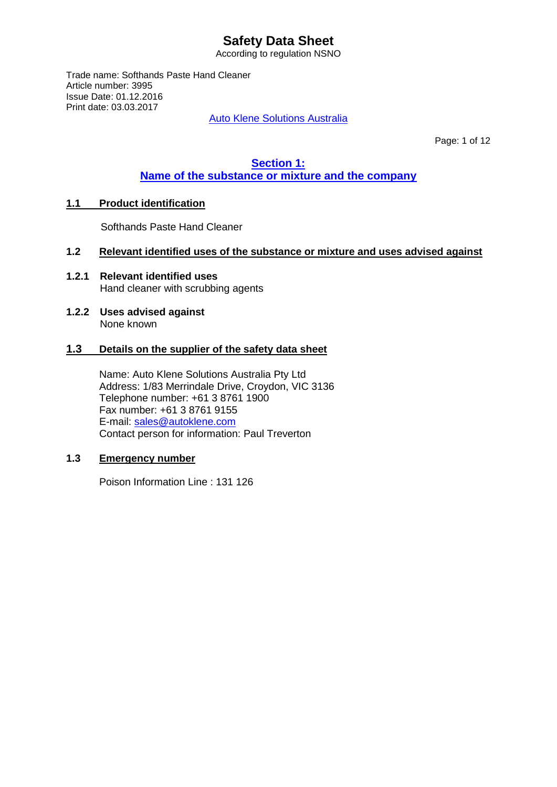According to regulation NSNO

Trade name: Softhands Paste Hand Cleaner Article number: 3995 Issue Date: 01.12.2016 Print date: 03.03.2017

Auto Klene Solutions Australia

Page: 1 of 12

## **Section 1: Name of the substance or mixture and the company**

## **1.1 Product identification**

Softhands Paste Hand Cleaner

## **1.2 Relevant identified uses of the substance or mixture and uses advised against**

- **1.2.1 Relevant identified uses** Hand cleaner with scrubbing agents
- **1.2.2 Uses advised against** None known

#### **1.3 Details on the supplier of the safety data sheet**

Name: Auto Klene Solutions Australia Pty Ltd Address: 1/83 Merrindale Drive, Croydon, VIC 3136 Telephone number: +61 3 8761 1900 Fax number: +61 3 8761 9155 E-mail: [sales@autoklene.com](mailto:sales@autoklene.com) Contact person for information: Paul Treverton

## **1.3 Emergency number**

Poison Information Line : 131 126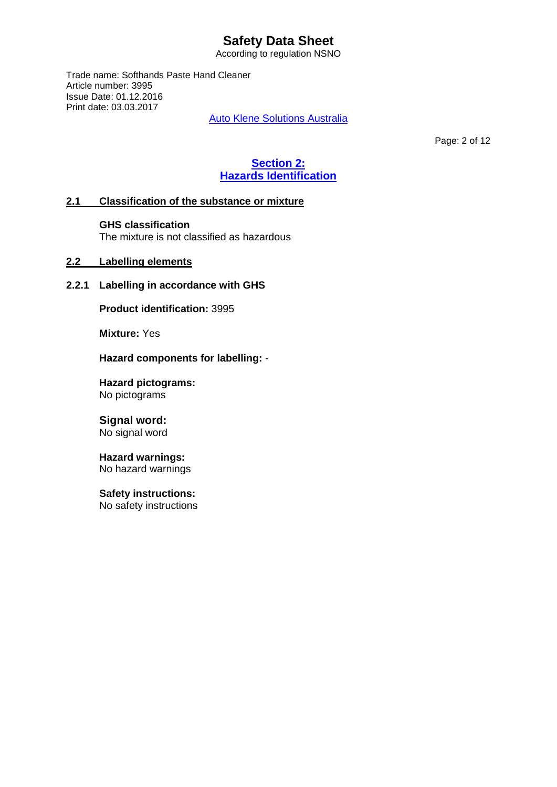According to regulation NSNO

Trade name: Softhands Paste Hand Cleaner Article number: 3995 Issue Date: 01.12.2016 Print date: 03.03.2017

Auto Klene Solutions Australia

Page: 2 of 12

# **Section 2: Hazards Identification**

## **2.1 Classification of the substance or mixture**

#### **GHS classification**

The mixture is not classified as hazardous

## **2.2 Labelling elements**

## **2.2.1 Labelling in accordance with GHS**

**Product identification:** 3995

**Mixture:** Yes

**Hazard components for labelling:** -

**Hazard pictograms:** No pictograms

# **Signal word:**

No signal word

#### **Hazard warnings:** No hazard warnings

**Safety instructions:**

No safety instructions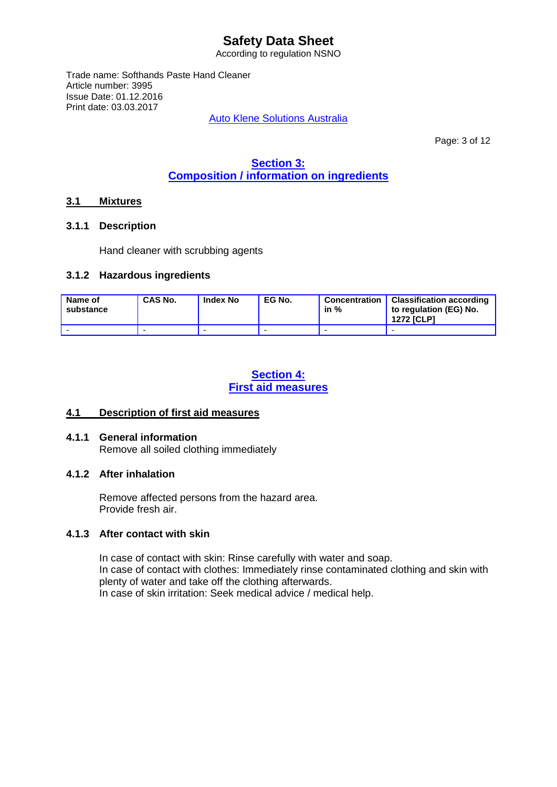According to regulation NSNO

Trade name: Softhands Paste Hand Cleaner Article number: 3995 Issue Date: 01.12.2016 Print date: 03.03.2017

Auto Klene Solutions Australia

Page: 3 of 12

# **Section 3: Composition / information on ingredients**

## **3.1 Mixtures**

#### **3.1.1 Description**

Hand cleaner with scrubbing agents

#### **3.1.2 Hazardous ingredients**

| Name of<br>substance | <b>CAS No.</b> | <b>Index No</b> | EG No. | in % | Concentration   Classification according<br>to regulation (EG) No.<br><b>1272 [CLP]</b> |
|----------------------|----------------|-----------------|--------|------|-----------------------------------------------------------------------------------------|
|                      |                |                 |        |      |                                                                                         |

## **Section 4: First aid measures**

## **4.1 Description of first aid measures**

## **4.1.1 General information**

Remove all soiled clothing immediately

## **4.1.2 After inhalation**

Remove affected persons from the hazard area. Provide fresh air.

## **4.1.3 After contact with skin**

In case of contact with skin: Rinse carefully with water and soap. In case of contact with clothes: Immediately rinse contaminated clothing and skin with plenty of water and take off the clothing afterwards. In case of skin irritation: Seek medical advice / medical help.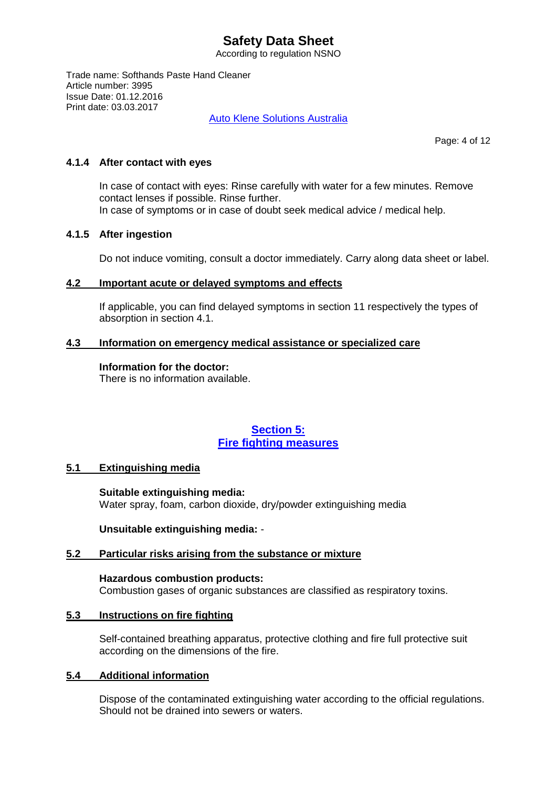According to regulation NSNO

Trade name: Softhands Paste Hand Cleaner Article number: 3995 Issue Date: 01.12.2016 Print date: 03.03.2017

Auto Klene Solutions Australia

Page: 4 of 12

#### **4.1.4 After contact with eyes**

In case of contact with eyes: Rinse carefully with water for a few minutes. Remove contact lenses if possible. Rinse further. In case of symptoms or in case of doubt seek medical advice / medical help.

#### **4.1.5 After ingestion**

Do not induce vomiting, consult a doctor immediately. Carry along data sheet or label.

#### **4.2 Important acute or delayed symptoms and effects**

If applicable, you can find delayed symptoms in section 11 respectively the types of absorption in section 4.1.

#### **4.3 Information on emergency medical assistance or specialized care**

#### **Information for the doctor:**

There is no information available.

## **Section 5: Fire fighting measures**

## **5.1 Extinguishing media**

**Suitable extinguishing media:** Water spray, foam, carbon dioxide, dry/powder extinguishing media

**Unsuitable extinguishing media:** -

## **5.2 Particular risks arising from the substance or mixture**

**Hazardous combustion products:** Combustion gases of organic substances are classified as respiratory toxins.

## **5.3 Instructions on fire fighting**

Self-contained breathing apparatus, protective clothing and fire full protective suit according on the dimensions of the fire.

## **5.4 Additional information**

Dispose of the contaminated extinguishing water according to the official regulations. Should not be drained into sewers or waters.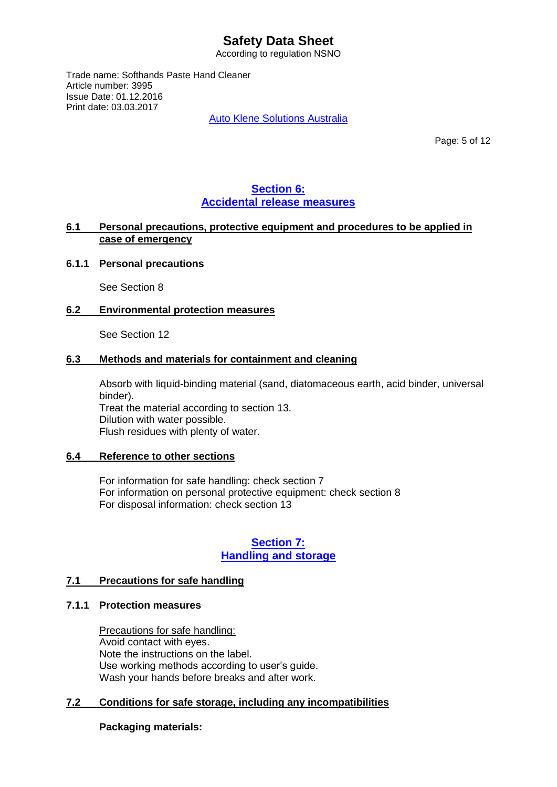According to regulation NSNO

Trade name: Softhands Paste Hand Cleaner Article number: 3995 Issue Date: 01.12.2016 Print date: 03.03.2017

Auto Klene Solutions Australia

Page: 5 of 12

## **Section 6: Accidental release measures**

### **6.1 Personal precautions, protective equipment and procedures to be applied in case of emergency**

#### **6.1.1 Personal precautions**

See Section 8

#### **6.2 Environmental protection measures**

See Section 12

#### **6.3 Methods and materials for containment and cleaning**

Absorb with liquid-binding material (sand, diatomaceous earth, acid binder, universal binder). Treat the material according to section 13. Dilution with water possible. Flush residues with plenty of water.

#### **6.4 Reference to other sections**

For information for safe handling: check section 7 For information on personal protective equipment: check section 8 For disposal information: check section 13

## **Section 7: Handling and storage**

#### **7.1 Precautions for safe handling**

#### **7.1.1 Protection measures**

Precautions for safe handling: Avoid contact with eyes. Note the instructions on the label. Use working methods according to user's guide. Wash your hands before breaks and after work.

## **7.2 Conditions for safe storage, including any incompatibilities**

## **Packaging materials:**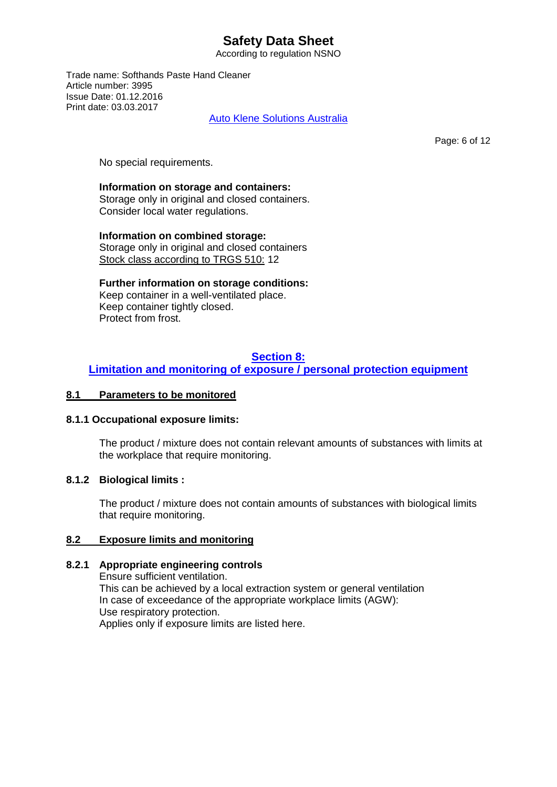According to regulation NSNO

Trade name: Softhands Paste Hand Cleaner Article number: 3995 Issue Date: 01.12.2016 Print date: 03.03.2017

Auto Klene Solutions Australia

Page: 6 of 12

No special requirements.

#### **Information on storage and containers:**

Storage only in original and closed containers. Consider local water regulations.

**Information on combined storage:**  Storage only in original and closed containers Stock class according to TRGS 510: 12

**Further information on storage conditions:** Keep container in a well-ventilated place. Keep container tightly closed. Protect from frost.

## **Section 8:**

## **Limitation and monitoring of exposure / personal protection equipment**

#### **8.1 Parameters to be monitored**

#### **8.1.1 Occupational exposure limits:**

The product / mixture does not contain relevant amounts of substances with limits at the workplace that require monitoring.

#### **8.1.2 Biological limits :**

The product / mixture does not contain amounts of substances with biological limits that require monitoring.

## **8.2 Exposure limits and monitoring**

## **8.2.1 Appropriate engineering controls**

Ensure sufficient ventilation. This can be achieved by a local extraction system or general ventilation In case of exceedance of the appropriate workplace limits (AGW): Use respiratory protection. Applies only if exposure limits are listed here.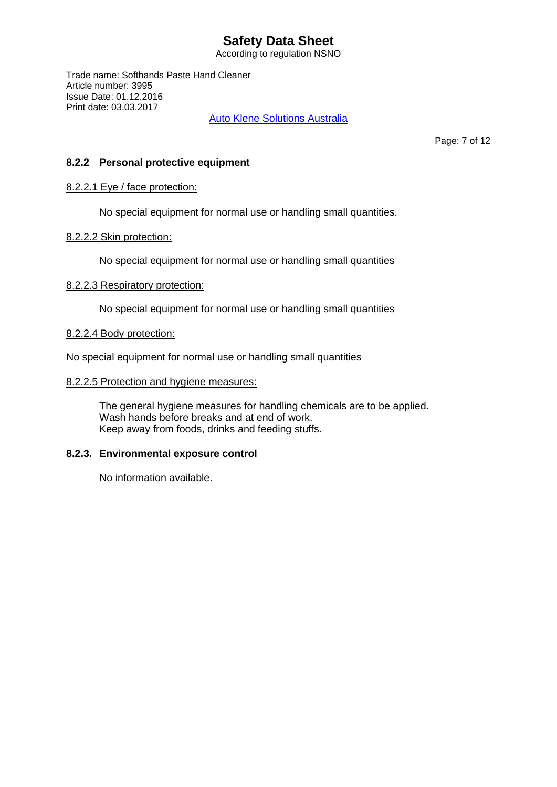According to regulation NSNO

Trade name: Softhands Paste Hand Cleaner Article number: 3995 Issue Date: 01.12.2016 Print date: 03.03.2017

Auto Klene Solutions Australia

Page: 7 of 12

### **8.2.2 Personal protective equipment**

#### 8.2.2.1 Eye / face protection:

No special equipment for normal use or handling small quantities.

#### 8.2.2.2 Skin protection:

No special equipment for normal use or handling small quantities

#### 8.2.2.3 Respiratory protection:

No special equipment for normal use or handling small quantities

#### 8.2.2.4 Body protection:

No special equipment for normal use or handling small quantities

#### 8.2.2.5 Protection and hygiene measures:

The general hygiene measures for handling chemicals are to be applied. Wash hands before breaks and at end of work. Keep away from foods, drinks and feeding stuffs.

## **8.2.3. Environmental exposure control**

No information available.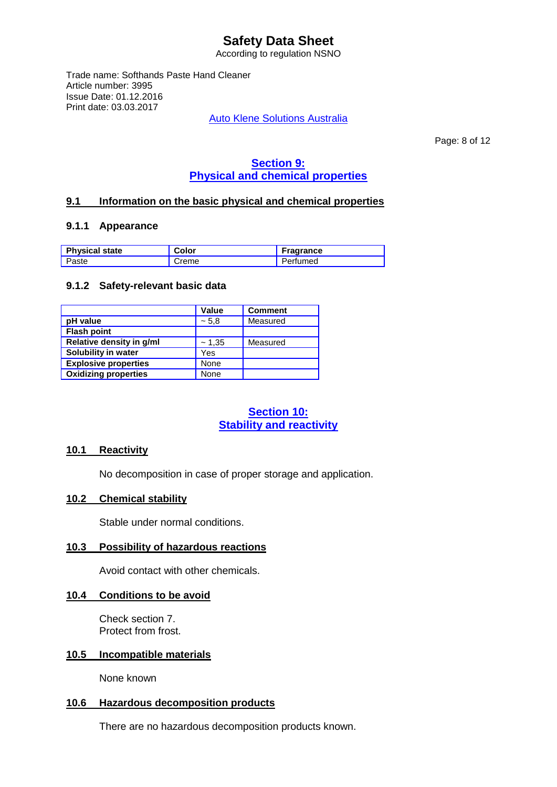According to regulation NSNO

Trade name: Softhands Paste Hand Cleaner Article number: 3995 Issue Date: 01.12.2016 Print date: 03.03.2017

Auto Klene Solutions Australia

Page: 8 of 12

# **Section 9: Physical and chemical properties**

## **9.1 Information on the basic physical and chemical properties**

#### **9.1.1 Appearance**

| <b>Physical state</b> | <b>Color</b> | <b>Fragrance</b> |
|-----------------------|--------------|------------------|
| Paste                 | Creme        | Perfumed         |

#### **9.1.2 Safety-relevant basic data**

|                             | <b>Value</b> | <b>Comment</b> |
|-----------------------------|--------------|----------------|
| pH value                    | ~5.8         | Measured       |
| <b>Flash point</b>          |              |                |
| Relative density in g/ml    | ~1,35        | Measured       |
| Solubility in water         | Yes          |                |
| <b>Explosive properties</b> | None         |                |
| <b>Oxidizing properties</b> | None         |                |

## **Section 10: Stability and reactivity**

#### **10.1 Reactivity**

No decomposition in case of proper storage and application.

## **10.2 Chemical stability**

Stable under normal conditions.

#### **10.3 Possibility of hazardous reactions**

Avoid contact with other chemicals.

#### **10.4 Conditions to be avoid**

Check section 7. Protect from frost.

#### **10.5 Incompatible materials**

None known

#### **10.6 Hazardous decomposition products**

There are no hazardous decomposition products known.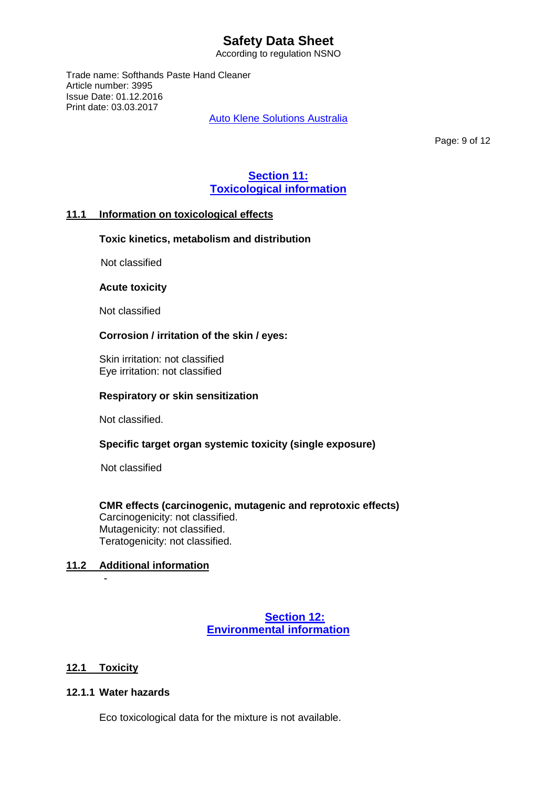According to regulation NSNO

Trade name: Softhands Paste Hand Cleaner Article number: 3995 Issue Date: 01.12.2016 Print date: 03.03.2017

Auto Klene Solutions Australia

Page: 9 of 12

## **Section 11: Toxicological information**

## **11.1 Information on toxicological effects**

## **Toxic kinetics, metabolism and distribution**

Not classified

#### **Acute toxicity**

Not classified

## **Corrosion / irritation of the skin / eyes:**

 Skin irritation: not classified Eye irritation: not classified

#### **Respiratory or skin sensitization**

Not classified.

## **Specific target organ systemic toxicity (single exposure)**

Not classified

#### **CMR effects (carcinogenic, mutagenic and reprotoxic effects)** Carcinogenicity: not classified. Mutagenicity: not classified. Teratogenicity: not classified.

## **11.2 Additional information**

## **Section 12: Environmental information**

## **12.1 Toxicity**

-

### **12.1.1 Water hazards**

Eco toxicological data for the mixture is not available.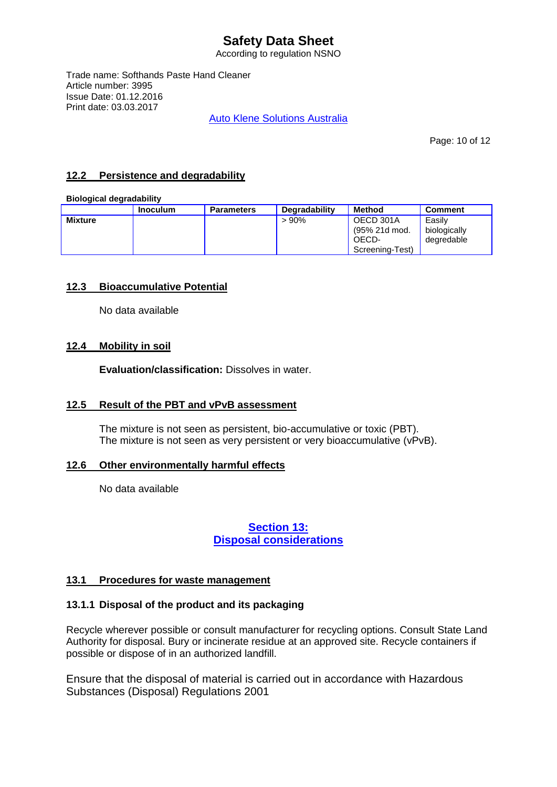According to regulation NSNO

Trade name: Softhands Paste Hand Cleaner Article number: 3995 Issue Date: 01.12.2016 Print date: 03.03.2017

Auto Klene Solutions Australia

Page: 10 of 12

## **12.2 Persistence and degradability**

#### **Biological degradability**

|                | Inoculum | <b>Parameters</b> | Degradability | <b>Method</b>                                          | <b>Comment</b>                       |
|----------------|----------|-------------------|---------------|--------------------------------------------------------|--------------------------------------|
| <b>Mixture</b> |          |                   | $>90\%$       | OECD 301A<br>(95% 21d mod.<br>OECD-<br>Screening-Test) | Easilv<br>biologically<br>degredable |

## **12.3 Bioaccumulative Potential**

No data available

## **12.4 Mobility in soil**

**Evaluation/classification:** Dissolves in water.

## **12.5 Result of the PBT and vPvB assessment**

The mixture is not seen as persistent, bio-accumulative or toxic (PBT). The mixture is not seen as very persistent or very bioaccumulative (vPvB).

## **12.6 Other environmentally harmful effects**

No data available

## **Section 13: Disposal considerations**

## **13.1 Procedures for waste management**

## **13.1.1 Disposal of the product and its packaging**

Recycle wherever possible or consult manufacturer for recycling options. Consult State Land Authority for disposal. Bury or incinerate residue at an approved site. Recycle containers if possible or dispose of in an authorized landfill.

Ensure that the disposal of material is carried out in accordance with Hazardous Substances (Disposal) Regulations 2001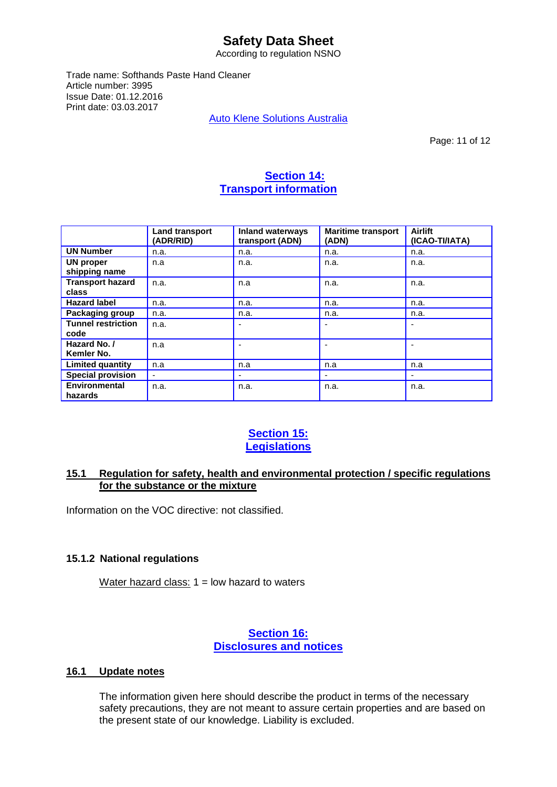According to regulation NSNO

Trade name: Softhands Paste Hand Cleaner Article number: 3995 Issue Date: 01.12.2016 Print date: 03.03.2017

Auto Klene Solutions Australia

Page: 11 of 12

## **Section 14: Transport information**

|                                   | <b>Land transport</b><br>(ADR/RID) | <b>Inland waterways</b><br>transport (ADN) | <b>Maritime transport</b><br>(ADN) | <b>Airlift</b><br>(ICAO-TI/IATA) |
|-----------------------------------|------------------------------------|--------------------------------------------|------------------------------------|----------------------------------|
| <b>UN Number</b>                  | n.a.                               | n.a.                                       | n.a.                               | n.a.                             |
| UN proper<br>shipping name        | n.a                                | n.a.                                       | n.a.                               | n.a.                             |
| <b>Transport hazard</b><br>class  | n.a.                               | n.a                                        | n.a.                               | n.a.                             |
| <b>Hazard label</b>               | n.a.                               | n.a.                                       | n.a.                               | n.a.                             |
| Packaging group                   | n.a.                               | n.a.                                       | n.a.                               | n.a.                             |
| <b>Tunnel restriction</b><br>code | n.a.                               |                                            |                                    |                                  |
| Hazard No. /<br>Kemler No.        | n.a                                |                                            |                                    |                                  |
| <b>Limited quantity</b>           | n.a                                | n.a                                        | n.a                                | n.a                              |
| <b>Special provision</b>          |                                    |                                            |                                    |                                  |
| Environmental<br>hazards          | n.a.                               | n.a.                                       | n.a.                               | n.a.                             |

## **Section 15: Legislations**

## **15.1 Regulation for safety, health and environmental protection / specific regulations for the substance or the mixture**

Information on the VOC directive: not classified.

## **15.1.2 National regulations**

Water hazard class:  $1 =$  low hazard to waters

## **Section 16: Disclosures and notices**

## **16.1 Update notes**

The information given here should describe the product in terms of the necessary safety precautions, they are not meant to assure certain properties and are based on the present state of our knowledge. Liability is excluded.